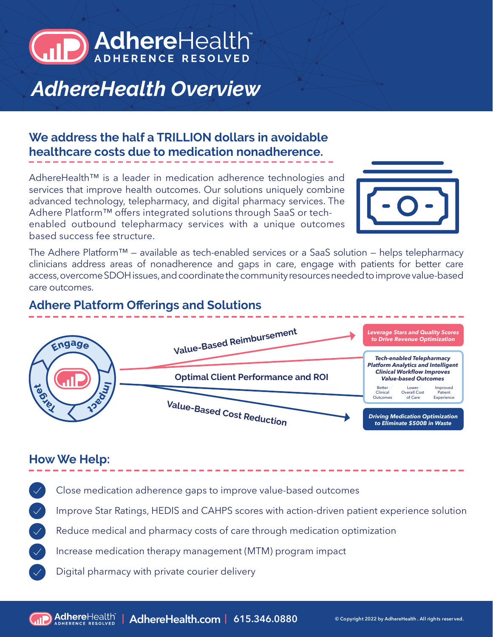

# *AdhereHealth Overview*

## **We address the half a TRILLION dollars in avoidable healthcare costs due to medication nonadherence.**

AdhereHealth™ is a leader in medication adherence technologies and services that improve health outcomes. Our solutions uniquely combine advanced technology, telepharmacy, and digital pharmacy services. The Adhere Platform™ offers integrated solutions through SaaS or techenabled outbound telepharmacy services with a unique outcomes based success fee structure.



The Adhere Platform™ — available as tech-enabled services or a SaaS solution — helps telepharmacy clinicians address areas of nonadherence and gaps in care, engage with patients for better care access, overcome SDOH issues, and coordinate the community resources needed to improve value-based care outcomes.

### **Adhere Platform Offerings and Solutions**



#### **How We Help:**

Close medication adherence gaps to improve value-based outcomes

Improve Star Ratings, HEDIS and CAHPS scores with action-driven patient experience solution

Reduce medical and pharmacy costs of care through medication optimization

Increase medication therapy management (MTM) program impact

Digital pharmacy with private courier delivery

**| AdhereHealth.com | 615.346.0880 © Copyright 2022 by AdhereHealth . All rights reser ved.**